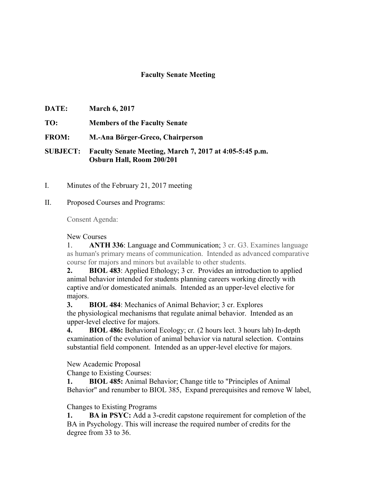## **Faculty Senate Meeting**

- **DATE: March 6, 2017**
- **TO: Members of the Faculty Senate**
- **FROM: M.-Ana Börger-Greco, Chairperson**

**SUBJECT: Faculty Senate Meeting, March 7, 2017 at 4:05-5:45 p.m. Osburn Hall, Room 200/201**

I. Minutes of the February 21, 2017 meeting

## II. Proposed Courses and Programs:

Consent Agenda:

New Courses

1. **ANTH 336**: Language and Communication; 3 cr. G3. Examines language as human's primary means of communication. Intended as advanced comparative course for majors and minors but available to other students.

**2. BIOL 483**: Applied Ethology; 3 cr. Provides an introduction to applied animal behavior intended for students planning careers working directly with captive and/or domesticated animals. Intended as an upper-level elective for majors.

**3. BIOL 484**: Mechanics of Animal Behavior; 3 cr. Explores the physiological mechanisms that regulate animal behavior. Intended as an upper-level elective for majors.

**4. BIOL 486:** Behavioral Ecology; cr. (2 hours lect. 3 hours lab) In-depth examination of the evolution of animal behavior via natural selection. Contains substantial field component. Intended as an upper-level elective for majors.

New Academic Proposal

Change to Existing Courses:

**1. BIOL 485:** Animal Behavior; Change title to "Principles of Animal Behavior" and renumber to BIOL 385, Expand prerequisites and remove W label,

## Changes to Existing Programs

**1. BA in PSYC:** Add a 3-credit capstone requirement for completion of the BA in Psychology. This will increase the required number of credits for the degree from 33 to 36.